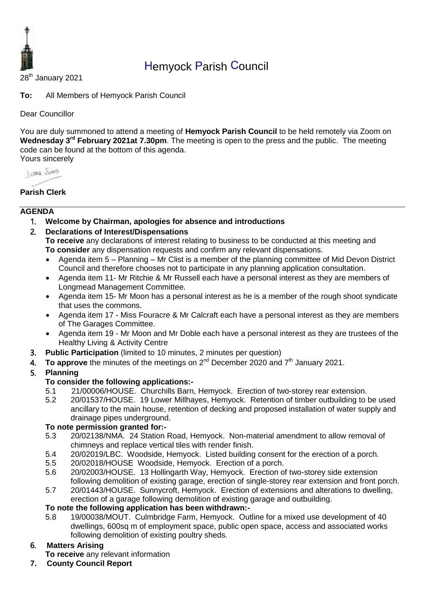

# Hemyock Parish Council

28<sup>th</sup> January 2021

**To:** All Members of Hemyock Parish Council

Dear Councillor

You are duly summoned to attend a meeting of **Hemyock Parish Council** to be held remotely via Zoom on Wednesday 3<sup>rd</sup> February 2021at 7.30pm. The meeting is open to the press and the public. The meeting code can be found at the bottom of this agenda. Yours sincerely

Journal Shans

## **Parish Clerk**

### **AGENDA**

- 1. **Welcome by Chairman, apologies for absence and introductions**
- 2. **Declarations of Interest/Dispensations**

**To receive** any declarations of interest relating to business to be conducted at this meeting and **To consider** any dispensation requests and confirm any relevant dispensations.

- Agenda item 5 Planning Mr Clist is a member of the planning committee of Mid Devon District Council and therefore chooses not to participate in any planning application consultation.
- Agenda item 11- Mr Ritchie & Mr Russell each have a personal interest as they are members of Longmead Management Committee.
- Agenda item 15- Mr Moon has a personal interest as he is a member of the rough shoot syndicate that uses the commons.
- Agenda item 17 Miss Fouracre & Mr Calcraft each have a personal interest as they are members of The Garages Committee.
- Agenda item 19 Mr Moon and Mr Doble each have a personal interest as they are trustees of the Healthy Living & Activity Centre
- 3. **Public Participation** (limited to 10 minutes, 2 minutes per question)
- 4. To approve the minutes of the meetings on 2<sup>nd</sup> December 2020 and 7<sup>th</sup> January 2021.

### 5. **Planning**

#### **To consider the following applications:-**

- 5.1 21/00006/HOUSE. Churchills Barn, Hemyock. Erection of two-storey rear extension.
- 5.2 20/01537/HOUSE. 19 Lower Millhayes, Hemyock. Retention of timber outbuilding to be used ancillary to the main house, retention of decking and proposed installation of water supply and drainage pipes underground.

### **To note permission granted for:-**

- 5.3 20/02138/NMA. 24 Station Road, Hemyock. Non-material amendment to allow removal of chimneys and replace vertical tiles with render finish.
- 5.4 20/02019/LBC. Woodside, Hemyock. Listed building consent for the erection of a porch.
- 5.5 20/02018/HOUSE Woodside, Hemyock. Erection of a porch.
- 5.6 20/02003/HOUSE. 13 Hollingarth Way, Hemyock. Erection of two-storey side extension following demolition of existing garage, erection of single-storey rear extension and front porch.
- 5.7 20/01443/HOUSE. Sunnycroft, Hemyock. Erection of extensions and alterations to dwelling, erection of a garage following demolition of existing garage and outbuilding.

### **To note the following application has been withdrawn:-**

5.8 19/00038/MOUT. Culmbridge Farm, Hemyock. Outline for a mixed use development of 40 dwellings, 600sq m of employment space, public open space, access and associated works following demolition of existing poultry sheds.

### 6. **Matters Arising**

**To receive** any relevant information

**7. County Council Report**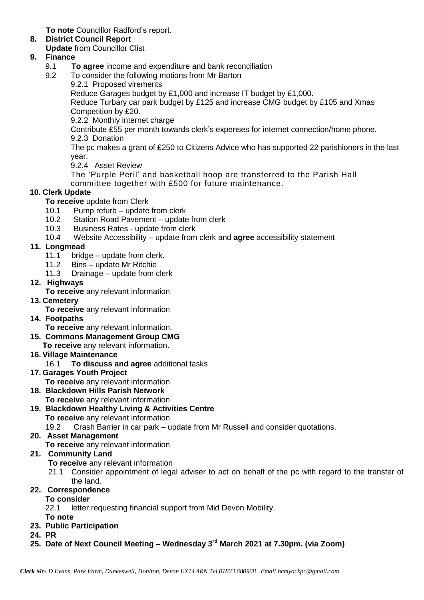**To note** Councillor Radford's report.

# **8. District Council Report**

**Update** from Councillor Clist

# **9. Finance**

- 9.1 **To agree** income and expenditure and bank reconciliation
- 9.2 To consider the following motions from Mr Barton
	- 9.2.1 Proposed virements

Reduce Garages budget by £1,000 and increase IT budget by £1,000.

Reduce Turbary car park budget by £125 and increase CMG budget by £105 and Xmas Competition by £20.

9.2.2 Monthly internet charge

Contribute £55 per month towards clerk's expenses for internet connection/home phone. 9.2.3 Donation

The pc makes a grant of £250 to Citizens Advice who has supported 22 parishioners in the last year.

9.2.4 Asset Review

The 'Purple Peril' and basketball hoop are transferred to the Parish Hall committee together with £500 for future maintenance.

# **10. Clerk Update**

**To receive** update from Clerk

- 10.1 Pump refurb update from clerk
- 10.2 Station Road Pavement update from clerk
- 10.3 Business Rates update from clerk
- 10.4 Website Accessibility update from clerk and **agree** accessibility statement

## **11. Longmead**

- 11.1 bridge update from clerk.
- 11.2 Bins update Mr Ritchie
- 11.3 Drainage update from clerk
- **12. Highways**

**To receive** any relevant information

- **13. Cemetery** 
	- **To receive** any relevant information
- **14. Footpaths**
	- **To receive** any relevant information.
- **15. Commons Management Group CMG**
	- **To receive** any relevant information.
- **16. Village Maintenance**
	- 16.1 **To discuss and agree** additional tasks
- **17. Garages Youth Project** 
	- **To receive** any relevant information
- **18. Blackdown Hills Parish Network To receive** any relevant information
- **19. Blackdown Healthy Living & Activities Centre To receive** any relevant information

19.2 Crash Barrier in car park – update from Mr Russell and consider quotations.

# **20. Asset Management**

**To receive** any relevant information

# **21. Community Land**

- **To receive** any relevant information
- 21.1 Consider appointment of legal adviser to act on behalf of the pc with regard to the transfer of the land.

# **22. Correspondence**

### **To consider**

22.1 letter requesting financial support from Mid Devon Mobility.

- **To note**
- **23. Public Participation**
- **24. PR**
- **25. Date of Next Council Meeting – Wednesday 3 rd March 2021 at 7.30pm. (via Zoom)**